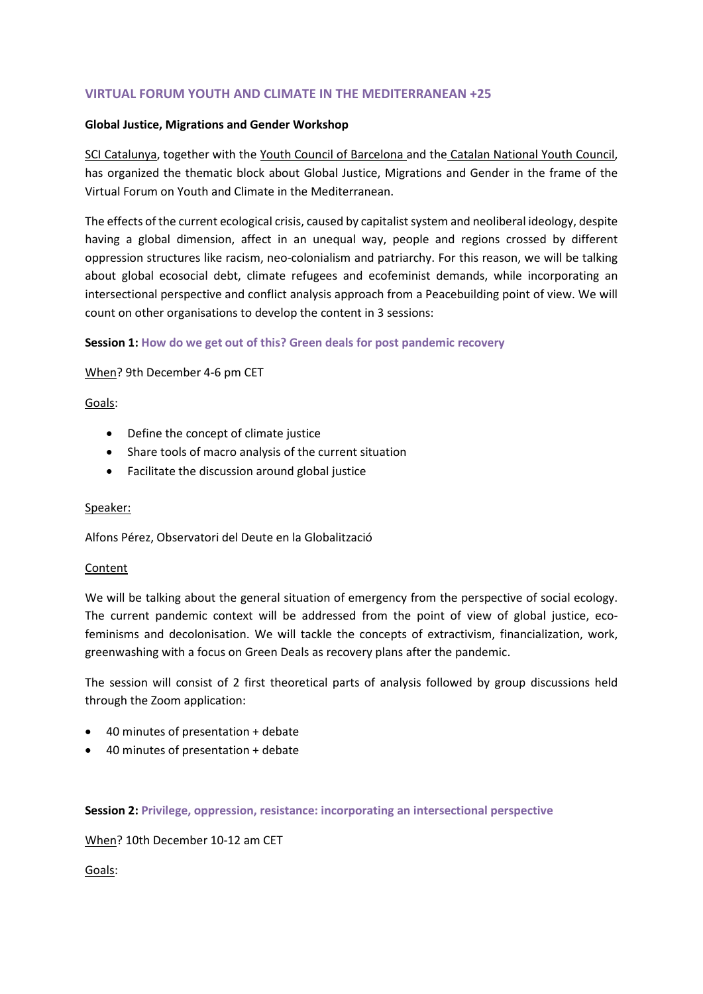# **VIRTUAL FORUM YOUTH AND CLIMATE IN THE MEDITERRANEAN +25**

#### **Global Justice, Migrations and Gender Workshop**

SCI Catalunya, together with the Youth Council of Barcelona and the Catalan National Youth Council, has organized the thematic block about Global Justice, Migrations and Gender in the frame of the Virtual Forum on Youth and Climate in the Mediterranean.

The effects of the current ecological crisis, caused by capitalist system and neoliberal ideology, despite having a global dimension, affect in an unequal way, people and regions crossed by different oppression structures like racism, neo-colonialism and patriarchy. For this reason, we will be talking about global ecosocial debt, climate refugees and ecofeminist demands, while incorporating an intersectional perspective and conflict analysis approach from a Peacebuilding point of view. We will count on other organisations to develop the content in 3 sessions:

### **Session 1: How do we get out of this? Green deals for post pandemic recovery**

### When? 9th December 4-6 pm CET

### Goals:

- Define the concept of climate justice
- Share tools of macro analysis of the current situation
- Facilitate the discussion around global justice

#### Speaker:

Alfons Pérez, Observatori del Deute en la Globalització

#### Content

We will be talking about the general situation of emergency from the perspective of social ecology. The current pandemic context will be addressed from the point of view of global justice, ecofeminisms and decolonisation. We will tackle the concepts of extractivism, financialization, work, greenwashing with a focus on Green Deals as recovery plans after the pandemic.

The session will consist of 2 first theoretical parts of analysis followed by group discussions held through the Zoom application:

- 40 minutes of presentation + debate
- 40 minutes of presentation + debate

#### **Session 2: Privilege, oppression, resistance: incorporating an intersectional perspective**

When? 10th December 10-12 am CET

Goals: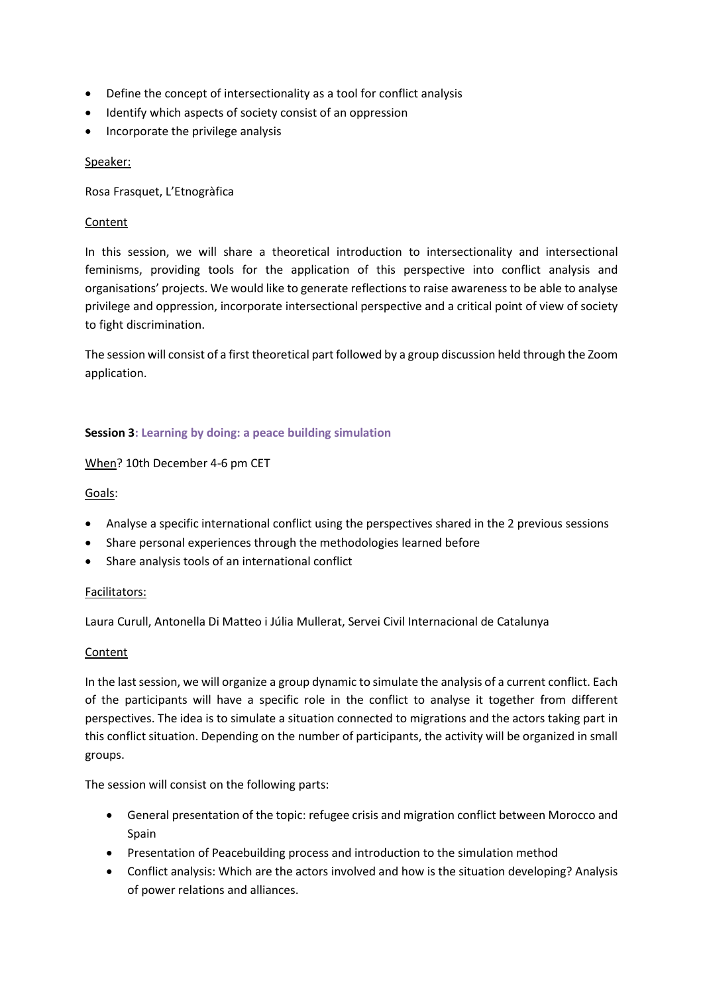- Define the concept of intersectionality as a tool for conflict analysis
- Identify which aspects of society consist of an oppression
- Incorporate the privilege analysis

## Speaker:

Rosa Frasquet, L'Etnogràfica

## Content

In this session, we will share a theoretical introduction to intersectionality and intersectional feminisms, providing tools for the application of this perspective into conflict analysis and organisations' projects. We would like to generate reflections to raise awareness to be able to analyse privilege and oppression, incorporate intersectional perspective and a critical point of view of society to fight discrimination.

The session will consist of a first theoretical part followed by a group discussion held through the Zoom application.

# **Session 3: Learning by doing: a peace building simulation**

## When? 10th December 4-6 pm CET

## Goals:

- Analyse a specific international conflict using the perspectives shared in the 2 previous sessions
- Share personal experiences through the methodologies learned before
- Share analysis tools of an international conflict

### Facilitators:

Laura Curull, Antonella Di Matteo i Júlia Mullerat, Servei Civil Internacional de Catalunya

### Content

In the last session, we will organize a group dynamic to simulate the analysis of a current conflict. Each of the participants will have a specific role in the conflict to analyse it together from different perspectives. The idea is to simulate a situation connected to migrations and the actors taking part in this conflict situation. Depending on the number of participants, the activity will be organized in small groups.

The session will consist on the following parts:

- General presentation of the topic: refugee crisis and migration conflict between Morocco and Spain
- Presentation of Peacebuilding process and introduction to the simulation method
- Conflict analysis: Which are the actors involved and how is the situation developing? Analysis of power relations and alliances.